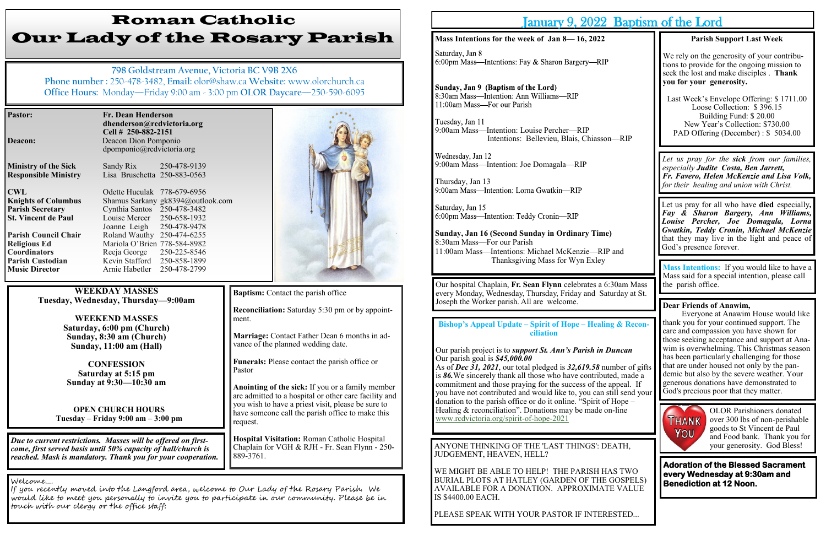| <b>Pastor:</b>              | Fr. Dean Henderson<br>dhenderson@rcdvictoria.org<br>Cell # 250-882-2151 |  |  |
|-----------------------------|-------------------------------------------------------------------------|--|--|
| <b>Deacon:</b>              | Deacon Dion Pomponio                                                    |  |  |
|                             | dpomponio@rcdvictoria.org                                               |  |  |
| <b>Ministry of the Sick</b> | Sandy Rix 250-478-9139                                                  |  |  |
| <b>Responsible Ministry</b> | Lisa Bruschetta 250-883-0563                                            |  |  |
| <b>CWL</b>                  | Odette Huculak 778-679-6956                                             |  |  |
| <b>Knights of Columbus</b>  | Shamus Sarkany gk8394@outlook.com                                       |  |  |
| <b>Parish Secretary</b>     | Cynthia Santos 250-478-3482                                             |  |  |
| <b>St. Vincent de Paul</b>  | Louise Mercer 250-658-1932                                              |  |  |
|                             | Joanne Leigh 250-478-9478                                               |  |  |
| <b>Parish Council Chair</b> | Roland Wauthy 250-474-6255                                              |  |  |
| <b>Religious Ed</b>         | Mariola O'Brien 778-584-8982                                            |  |  |
| <b>Coordinators</b>         | 250-225-8546<br>Reeja George                                            |  |  |
| <b>Parish Custodian</b>     | Kevin Stafford<br>250-858-1899                                          |  |  |
| <b>Music Director</b>       | 250-478-2799<br>Arnie Habetler                                          |  |  |

# Roman Catholic Our Lady of the Rosary Parish

**798 Goldstream Avenue, Victoria BC V9B 2X6 Phone number :** 250-478-3482, **Email:** olor@shaw.ca **Website:** www.olorchurch.ca **Office Hours:** Monday—Friday 9:00 am - 3:00 pm **OLOR Daycare**—250-590-6095

**WEEKDAY MASSES Tuesday, Wednesday, Thursday—9:00am**

> **WEEKEND MASSES Saturday, 6:00 pm (Church) Sunday, 8:30 am (Church) Sunday, 11:00 am (Hall)**

**CONFESSION Saturday at 5:15 pm Sunday at 9:30—10:30 am**

**OPEN CHURCH HOURS Tuesday – Friday 9:00 am – 3:00 pm**

Wednesday, Jan 12 9:00am Mass—Intention: Joe Domagala—RIP

Thursday, Jan 13<br>9:00am Mass—Intention: Lorna Gwatkin—RIP

Saturday, Jan 15 6:00pm Mass-Intention: Teddy Cronin-RIP

**Reconciliation:** Saturday 5:30 pm or by appointment.

**Marriage:** Contact Father Dean 6 months in advance of the planned wedding date.

**Funerals:** Please contact the parish office or Pastor

**Anointing of the sick:** If you or a family member are admitted to a hospital or other care facility and you wish to have a priest visit, please be sure to have someone call the parish office to make this request.

**Hospital Visitation:** Roman Catholic Hospital Chaplain for VGH & RJH - Fr. Sean Flynn - 250- 889-3761.

**Bishop**'s Appeal Update – Spirit of Hope – Healing **ciliation**

Our parish project is to *support St. Ann's Parish in 1* Our parish goal is *\$45,000.00*

*Due to current restrictions. Masses will be offered on firstcome, first served basis until 50% capacity of hall/church is reached. Mask is mandatory. Thank you for your cooperation.*

#### Welcome….

As of *Dec*  $\overline{31}$ , 2021, our total pledged is 32,619.58 number is  $86$ . We sincerely thank all those who have contributed commitment and those praying for the success of the you have not contributed and would like to, you can s donation to the parish office or do it online. "Spirit of Healing  $&$  reconciliation". Donations may be made on [www.rcdvictoria.org/spirit](http://www.rcdvictoria.org/spirit-of-hope-2021)-of-hope-2021

If you recently moved into the Langford area, welcome to Our Lady of the Rosary Parish. We would like to meet you personally to invite you to participate in our community. Please be in touch with our clergy or the office staff:



**Baptism:** Contact the parish office

## January 9, 2022 Baptism of the Lord

### **Mass Intentions for the week of Jan 8— 16, 2022**

Saturday, Jan 8 6:00pm Mass—Intentions: Fay & Sharon Bargery—RIP

Sunday, Jan 9 (Baptism of the Lord) 8:30am Mass-Intention: Ann Williams-RIP 11:00am Mass-For our Parish

Tuesday, Jan 11 9:00am Mass—Intention: Louise Percher—RIP Intentions: Bellevieu, Blais, Chiasson

Our hospital Chaplain, Fr. Sean Flynn celebrates a 6 every Monday, Wednesday, Thursday, Friday and Sat Joseph the Worker parish. All are welcome.

ANYONE THINKING OF THE 'LAST THINGS': D JUDGEMENT, HEAVEN, HELL?

WE MIGHT BE ABLE TO HELP! THE PARISH H. BURIAL PLOTS AT HATLEY (GARDEN OF THE AVAILABLE FOR A DONATION. APPROXIMAT IS \$4400.00 EACH.

PLEASE SPEAK WITH YOUR PASTOR IF INTER

**Sunday, Jan 16 (Second Sunday in Ordinary Time)** 8:30am Mass—For our Parish 11:00am Mass-Intentions: Michael McKenzie-RIF Thanksgiving Mass for Wyn Exley

|                                                                          | Dapublil vi ulu Loru                                                                                                                                                                                                                                                      |  |
|--------------------------------------------------------------------------|---------------------------------------------------------------------------------------------------------------------------------------------------------------------------------------------------------------------------------------------------------------------------|--|
|                                                                          | <b>Parish Support Last Week</b>                                                                                                                                                                                                                                           |  |
|                                                                          | We rely on the generosity of your contribu-<br>tions to provide for the ongoing mission to<br>seek the lost and make disciples. Thank<br>you for your generosity.                                                                                                         |  |
| n—RIP                                                                    | Last Week's Envelope Offering: \$1711.00<br>Loose Collection: \$396.15<br>Building Fund: \$20.00<br>New Year's Collection: \$730.00<br>PAD Offering (December) : \$5034.00                                                                                                |  |
|                                                                          | Let us pray for the sick from our families,<br>especially Judite Costa, Ben Jarrett,<br>Fr. Favero, Helen McKenzie and Lisa Volk,<br>for their healing and union with Christ.                                                                                             |  |
| ?)<br>P and                                                              | Let us pray for all who have died especially,<br>Fay & Sharon Bargery, Ann Williams,<br>Louise Percher, Joe Domagala, Lorna<br>Gwatkin, Teddy Cronin, Michael McKenzie<br>that they may live in the light and peace of<br>God's presence forever.                         |  |
|                                                                          | Mass Intentions: If you would like to have a                                                                                                                                                                                                                              |  |
| :30am Mass<br>turday at St.                                              | Mass said for a special intention, please call<br>the parish office.                                                                                                                                                                                                      |  |
| ng & Recon-                                                              | <b>Dear Friends of Anawim,</b><br>Everyone at Anawim House would like<br>thank you for your continued support. The<br>care and compassion you have shown for<br>those seeking acceptance and support at Ana-                                                              |  |
| Duncan<br>umber of gifts<br>ted, made a<br>appeal. If<br>still send your | wim is overwhelming. This Christmas season<br>has been particularly challenging for those<br>that are under housed not only by the pan-<br>demic but also by the severe weather. Your<br>generous donations have demonstrated to<br>God's precious poor that they matter. |  |
| f Hope –<br>n-line                                                       | <b>OLOR</b> Parishioners donated<br><b>THANK</b><br>over 300 lbs of non-perishable<br>goods to St Vincent de Paul<br>You<br>and Food bank. Thank you for                                                                                                                  |  |
| EATH,                                                                    | your generosity. God Bless!                                                                                                                                                                                                                                               |  |
| <b>AS TWO</b><br>GOSPELS)<br><b><i>TE VALUE</i></b>                      | <b>Adoration of the Blessed Sacrament</b><br>every Wednesday at 9:30am and<br><b>Benediction at 12 Noon.</b>                                                                                                                                                              |  |
| ESTED                                                                    |                                                                                                                                                                                                                                                                           |  |
|                                                                          |                                                                                                                                                                                                                                                                           |  |